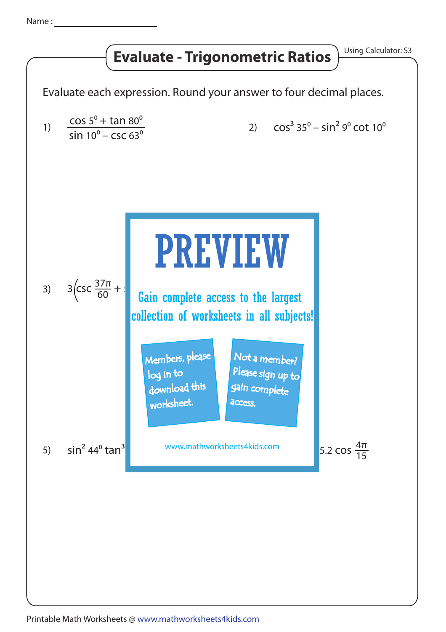## **Evaluate - Trigonometric Ratios** Using Calculator: S3